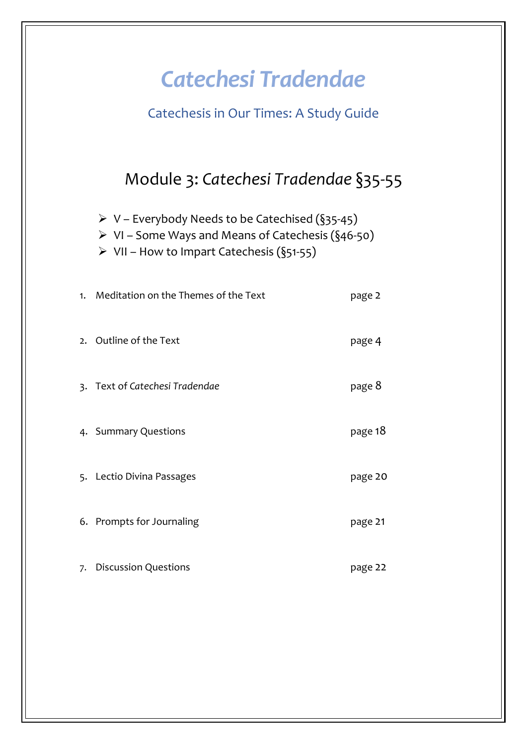# *Catechesi Tradendae*

Catechesis in Our Times: A Study Guide

## Module 3: *Catechesi Tradendae* §35-55

 $\triangleright$  V – Everybody Needs to be Catechised (§35-45)

 $V =$  VI – Some Ways and Means of Catechesis (§46-50)

 $VII$  – How to Impart Catechesis (§51-55)

| 1.               | Meditation on the Themes of the Text | page 2  |
|------------------|--------------------------------------|---------|
| $\overline{2}$ . | Outline of the Text                  | page 4  |
|                  | 3. Text of Catechesi Tradendae       | page 8  |
|                  | 4. Summary Questions                 | page 18 |
|                  | 5. Lectio Divina Passages            | page 20 |
|                  | 6. Prompts for Journaling            | page 21 |
| 7.               | <b>Discussion Questions</b>          | page 22 |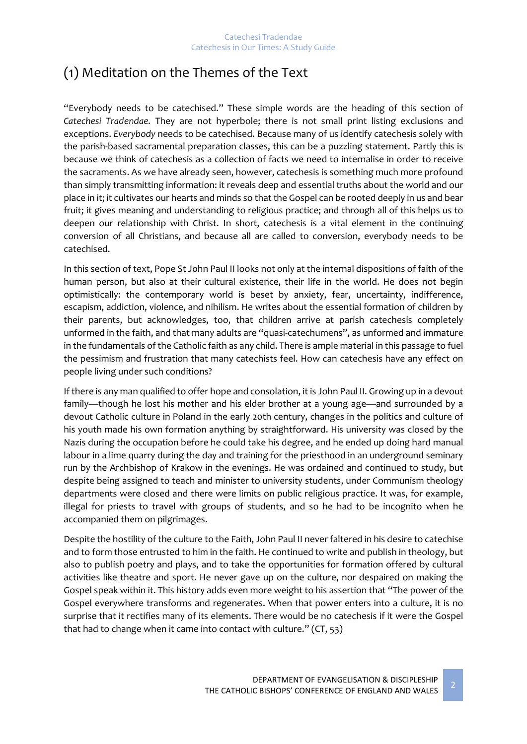## (1) Meditation on the Themes of the Text

"Everybody needs to be catechised." These simple words are the heading of this section of *Catechesi Tradendae.* They are not hyperbole; there is not small print listing exclusions and exceptions. *Everybody* needs to be catechised. Because many of us identify catechesis solely with the parish-based sacramental preparation classes, this can be a puzzling statement. Partly this is because we think of catechesis as a collection of facts we need to internalise in order to receive the sacraments. As we have already seen, however, catechesis is something much more profound than simply transmitting information: it reveals deep and essential truths about the world and our place in it; it cultivates our hearts and minds so that the Gospel can be rooted deeply in us and bear fruit; it gives meaning and understanding to religious practice; and through all of this helps us to deepen our relationship with Christ. In short, catechesis is a vital element in the continuing conversion of all Christians, and because all are called to conversion, everybody needs to be catechised.

In this section of text, Pope St John Paul II looks not only at the internal dispositions of faith of the human person, but also at their cultural existence, their life in the world. He does not begin optimistically: the contemporary world is beset by anxiety, fear, uncertainty, indifference, escapism, addiction, violence, and nihilism. He writes about the essential formation of children by their parents, but acknowledges, too, that children arrive at parish catechesis completely unformed in the faith, and that many adults are "quasi-catechumens", as unformed and immature in the fundamentals of the Catholic faith as any child. There is ample material in this passage to fuel the pessimism and frustration that many catechists feel. How can catechesis have any effect on people living under such conditions?

If there is any man qualified to offer hope and consolation, it is John Paul II. Growing up in a devout family—though he lost his mother and his elder brother at a young age—and surrounded by a devout Catholic culture in Poland in the early 20th century, changes in the politics and culture of his youth made his own formation anything by straightforward. His university was closed by the Nazis during the occupation before he could take his degree, and he ended up doing hard manual labour in a lime quarry during the day and training for the priesthood in an underground seminary run by the Archbishop of Krakow in the evenings. He was ordained and continued to study, but despite being assigned to teach and minister to university students, under Communism theology departments were closed and there were limits on public religious practice. It was, for example, illegal for priests to travel with groups of students, and so he had to be incognito when he accompanied them on pilgrimages.

Despite the hostility of the culture to the Faith, John Paul II never faltered in his desire to catechise and to form those entrusted to him in the faith. He continued to write and publish in theology, but also to publish poetry and plays, and to take the opportunities for formation offered by cultural activities like theatre and sport. He never gave up on the culture, nor despaired on making the Gospel speak within it. This history adds even more weight to his assertion that "The power of the Gospel everywhere transforms and regenerates. When that power enters into a culture, it is no surprise that it rectifies many of its elements. There would be no catechesis if it were the Gospel that had to change when it came into contact with culture." (CT, 53)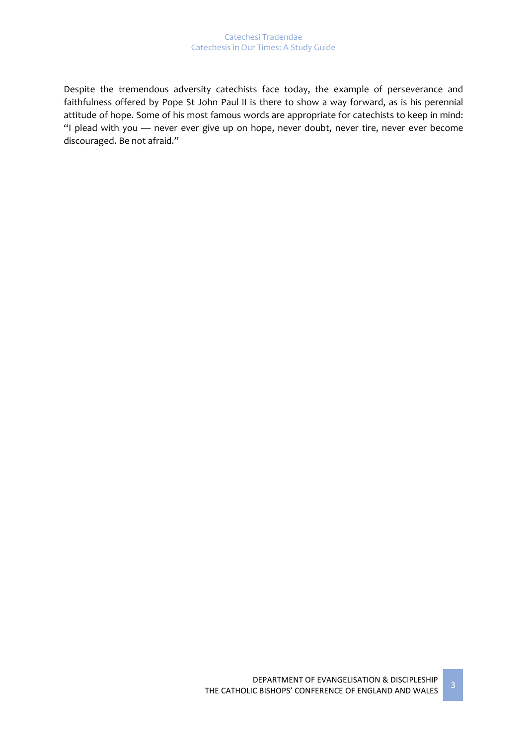Despite the tremendous adversity catechists face today, the example of perseverance and faithfulness offered by Pope St John Paul II is there to show a way forward, as is his perennial attitude of hope. Some of his most famous words are appropriate for catechists to keep in mind: "I plead with you — never ever give up on hope, never doubt, never tire, never ever become discouraged. Be not afraid."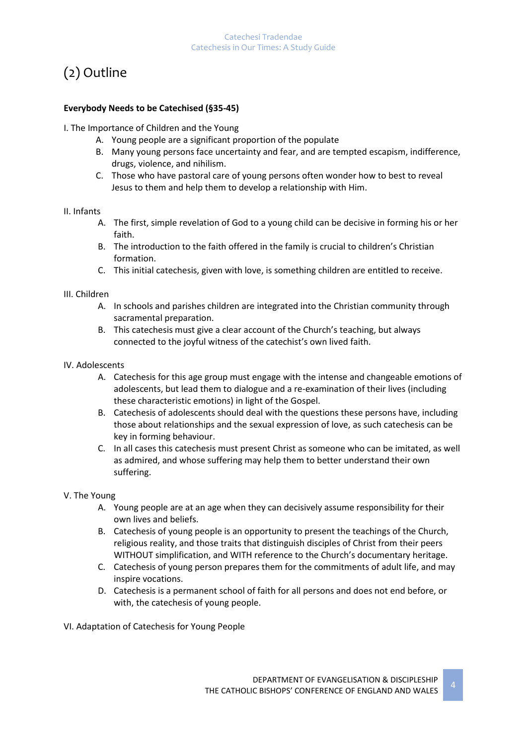## (2) Outline

### **Everybody Needs to be Catechised (§35-45)**

I. The Importance of Children and the Young

- A. Young people are a significant proportion of the populate
- B. Many young persons face uncertainty and fear, and are tempted escapism, indifference, drugs, violence, and nihilism.
- C. Those who have pastoral care of young persons often wonder how to best to reveal Jesus to them and help them to develop a relationship with Him.

#### II. Infants

- A. The first, simple revelation of God to a young child can be decisive in forming his or her faith.
- B. The introduction to the faith offered in the family is crucial to children's Christian formation.
- C. This initial catechesis, given with love, is something children are entitled to receive.

#### III. Children

- A. In schools and parishes children are integrated into the Christian community through sacramental preparation.
- B. This catechesis must give a clear account of the Church's teaching, but always connected to the joyful witness of the catechist's own lived faith.

#### IV. Adolescents

- A. Catechesis for this age group must engage with the intense and changeable emotions of adolescents, but lead them to dialogue and a re-examination of their lives (including these characteristic emotions) in light of the Gospel.
- B. Catechesis of adolescents should deal with the questions these persons have, including those about relationships and the sexual expression of love, as such catechesis can be key in forming behaviour.
- C. In all cases this catechesis must present Christ as someone who can be imitated, as well as admired, and whose suffering may help them to better understand their own suffering.

#### V. The Young

- A. Young people are at an age when they can decisively assume responsibility for their own lives and beliefs.
- B. Catechesis of young people is an opportunity to present the teachings of the Church, religious reality, and those traits that distinguish disciples of Christ from their peers WITHOUT simplification, and WITH reference to the Church's documentary heritage.
- C. Catechesis of young person prepares them for the commitments of adult life, and may inspire vocations.
- D. Catechesis is a permanent school of faith for all persons and does not end before, or with, the catechesis of young people.
- VI. Adaptation of Catechesis for Young People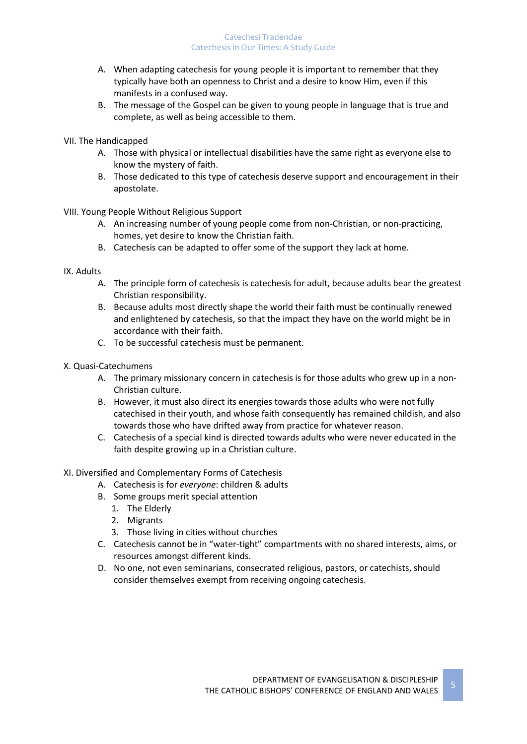- A. When adapting catechesis for young people it is important to remember that they typically have both an openness to Christ and a desire to know Him, even if this manifests in a confused way.
- B. The message of the Gospel can be given to young people in language that is true and complete, as well as being accessible to them.
- VII. The Handicapped
	- A. Those with physical or intellectual disabilities have the same right as everyone else to know the mystery of faith.
	- B. Those dedicated to this type of catechesis deserve support and encouragement in their apostolate.
- VIII. Young People Without Religious Support
	- A. An increasing number of young people come from non-Christian, or non-practicing, homes, yet desire to know the Christian faith.
	- B. Catechesis can be adapted to offer some of the support they lack at home.
- IX. Adults
	- A. The principle form of catechesis is catechesis for adult, because adults bear the greatest Christian responsibility.
	- B. Because adults most directly shape the world their faith must be continually renewed and enlightened by catechesis, so that the impact they have on the world might be in accordance with their faith.
	- C. To be successful catechesis must be permanent.
- X. Quasi-Catechumens
	- A. The primary missionary concern in catechesis is for those adults who grew up in a non-Christian culture.
	- B. However, it must also direct its energies towards those adults who were not fully catechised in their youth, and whose faith consequently has remained childish, and also towards those who have drifted away from practice for whatever reason.
	- C. Catechesis of a special kind is directed towards adults who were never educated in the faith despite growing up in a Christian culture.

#### XI. Diversified and Complementary Forms of Catechesis

- A. Catechesis is for *everyone*: children & adults
- B. Some groups merit special attention
	- 1. The Elderly
	- 2. Migrants
	- 3. Those living in cities without churches
- C. Catechesis cannot be in "water-tight" compartments with no shared interests, aims, or resources amongst different kinds.
- D. No one, not even seminarians, consecrated religious, pastors, or catechists, should consider themselves exempt from receiving ongoing catechesis.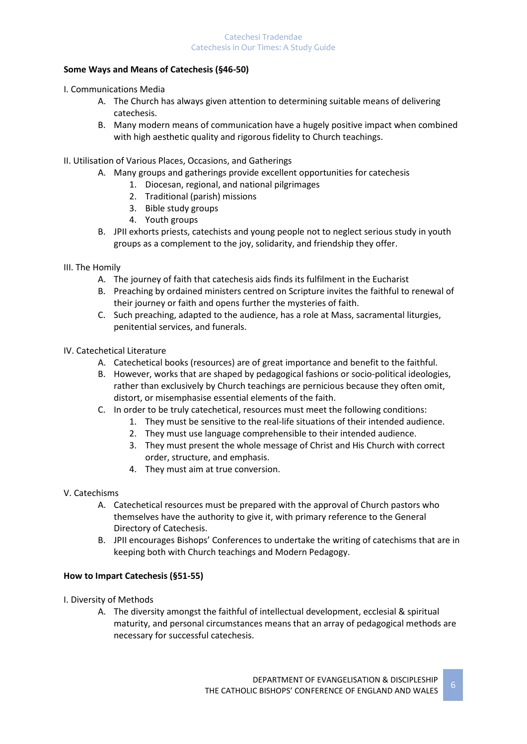## **Some Ways and Means of Catechesis (§46-50)**

- I. Communications Media
	- A. The Church has always given attention to determining suitable means of delivering catechesis.
	- B. Many modern means of communication have a hugely positive impact when combined with high aesthetic quality and rigorous fidelity to Church teachings.
- II. Utilisation of Various Places, Occasions, and Gatherings
	- A. Many groups and gatherings provide excellent opportunities for catechesis
		- 1. Diocesan, regional, and national pilgrimages
		- 2. Traditional (parish) missions
		- 3. Bible study groups
		- 4. Youth groups
	- B. JPII exhorts priests, catechists and young people not to neglect serious study in youth groups as a complement to the joy, solidarity, and friendship they offer.
- III. The Homily
	- A. The journey of faith that catechesis aids finds its fulfilment in the Eucharist
	- B. Preaching by ordained ministers centred on Scripture invites the faithful to renewal of their journey or faith and opens further the mysteries of faith.
	- C. Such preaching, adapted to the audience, has a role at Mass, sacramental liturgies, penitential services, and funerals.
- IV. Catechetical Literature
	- A. Catechetical books (resources) are of great importance and benefit to the faithful.
	- B. However, works that are shaped by pedagogical fashions or socio-political ideologies, rather than exclusively by Church teachings are pernicious because they often omit, distort, or misemphasise essential elements of the faith.
	- C. In order to be truly catechetical, resources must meet the following conditions:
		- 1. They must be sensitive to the real-life situations of their intended audience.
		- 2. They must use language comprehensible to their intended audience.
		- 3. They must present the whole message of Christ and His Church with correct order, structure, and emphasis.
		- 4. They must aim at true conversion.
- V. Catechisms
	- A. Catechetical resources must be prepared with the approval of Church pastors who themselves have the authority to give it, with primary reference to the General Directory of Catechesis.
	- B. JPII encourages Bishops' Conferences to undertake the writing of catechisms that are in keeping both with Church teachings and Modern Pedagogy.

## **How to Impart Catechesis (§51-55)**

- I. Diversity of Methods
	- A. The diversity amongst the faithful of intellectual development, ecclesial & spiritual maturity, and personal circumstances means that an array of pedagogical methods are necessary for successful catechesis.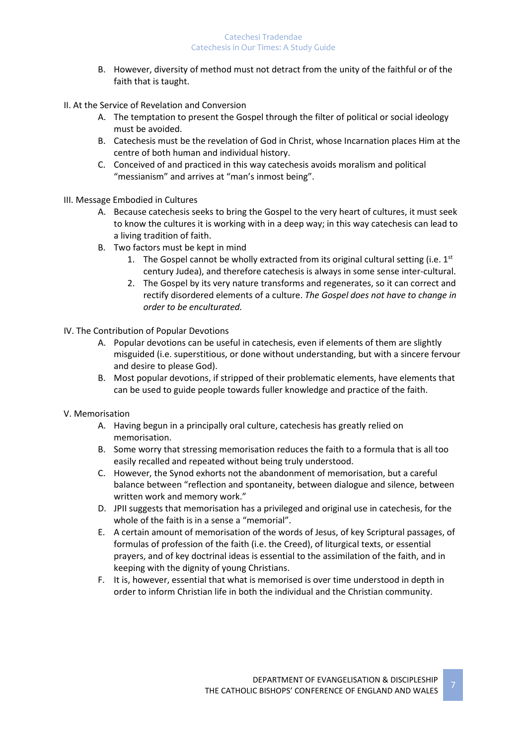- B. However, diversity of method must not detract from the unity of the faithful or of the faith that is taught.
- II. At the Service of Revelation and Conversion
	- A. The temptation to present the Gospel through the filter of political or social ideology must be avoided.
	- B. Catechesis must be the revelation of God in Christ, whose Incarnation places Him at the centre of both human and individual history.
	- C. Conceived of and practiced in this way catechesis avoids moralism and political "messianism" and arrives at "man's inmost being".
- III. Message Embodied in Cultures
	- A. Because catechesis seeks to bring the Gospel to the very heart of cultures, it must seek to know the cultures it is working with in a deep way; in this way catechesis can lead to a living tradition of faith.
	- B. Two factors must be kept in mind
		- 1. The Gospel cannot be wholly extracted from its original cultural setting (i.e.  $1<sup>st</sup>$ century Judea), and therefore catechesis is always in some sense inter-cultural.
		- 2. The Gospel by its very nature transforms and regenerates, so it can correct and rectify disordered elements of a culture. *The Gospel does not have to change in order to be enculturated.*
- IV. The Contribution of Popular Devotions
	- A. Popular devotions can be useful in catechesis, even if elements of them are slightly misguided (i.e. superstitious, or done without understanding, but with a sincere fervour and desire to please God).
	- B. Most popular devotions, if stripped of their problematic elements, have elements that can be used to guide people towards fuller knowledge and practice of the faith.
- V. Memorisation
	- A. Having begun in a principally oral culture, catechesis has greatly relied on memorisation.
	- B. Some worry that stressing memorisation reduces the faith to a formula that is all too easily recalled and repeated without being truly understood.
	- C. However, the Synod exhorts not the abandonment of memorisation, but a careful balance between "reflection and spontaneity, between dialogue and silence, between written work and memory work."
	- D. JPII suggests that memorisation has a privileged and original use in catechesis, for the whole of the faith is in a sense a "memorial".
	- E. A certain amount of memorisation of the words of Jesus, of key Scriptural passages, of formulas of profession of the faith (i.e. the Creed), of liturgical texts, or essential prayers, and of key doctrinal ideas is essential to the assimilation of the faith, and in keeping with the dignity of young Christians.
	- F. It is, however, essential that what is memorised is over time understood in depth in order to inform Christian life in both the individual and the Christian community.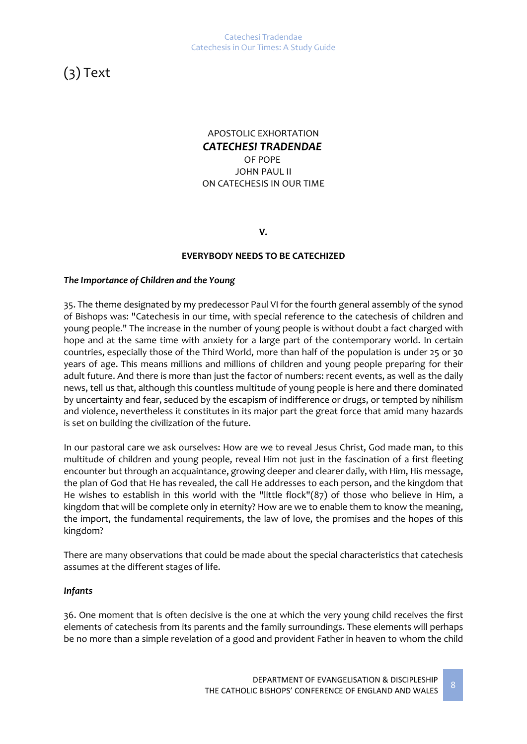(3) Text

## APOSTOLIC EXHORTATION *CATECHESI TRADENDAE* OF POPE JOHN PAUL II ON CATECHESIS IN OUR TIME

**V.**

### **EVERYBODY NEEDS TO BE CATECHIZED**

#### *The Importance of Children and the Young*

35. The theme designated by my predecessor Paul VI for the fourth general assembly of the synod of Bishops was: "Catechesis in our time, with special reference to the catechesis of children and young people." The increase in the number of young people is without doubt a fact charged with hope and at the same time with anxiety for a large part of the contemporary world. In certain countries, especially those of the Third World, more than half of the population is under 25 or 30 years of age. This means millions and millions of children and young people preparing for their adult future. And there is more than just the factor of numbers: recent events, as well as the daily news, tell us that, although this countless multitude of young people is here and there dominated by uncertainty and fear, seduced by the escapism of indifference or drugs, or tempted by nihilism and violence, nevertheless it constitutes in its major part the great force that amid many hazards is set on building the civilization of the future.

In our pastoral care we ask ourselves: How are we to reveal Jesus Christ, God made man, to this multitude of children and young people, reveal Him not just in the fascination of a first fleeting encounter but through an acquaintance, growing deeper and clearer daily, with Him, His message, the plan of God that He has revealed, the call He addresses to each person, and the kingdom that He wishes to establish in this world with the "little flock"(87) of those who believe in Him, a kingdom that will be complete only in eternity? How are we to enable them to know the meaning, the import, the fundamental requirements, the law of love, the promises and the hopes of this kingdom?

There are many observations that could be made about the special characteristics that catechesis assumes at the different stages of life.

#### *Infants*

36. One moment that is often decisive is the one at which the very young child receives the first elements of catechesis from its parents and the family surroundings. These elements will perhaps be no more than a simple revelation of a good and provident Father in heaven to whom the child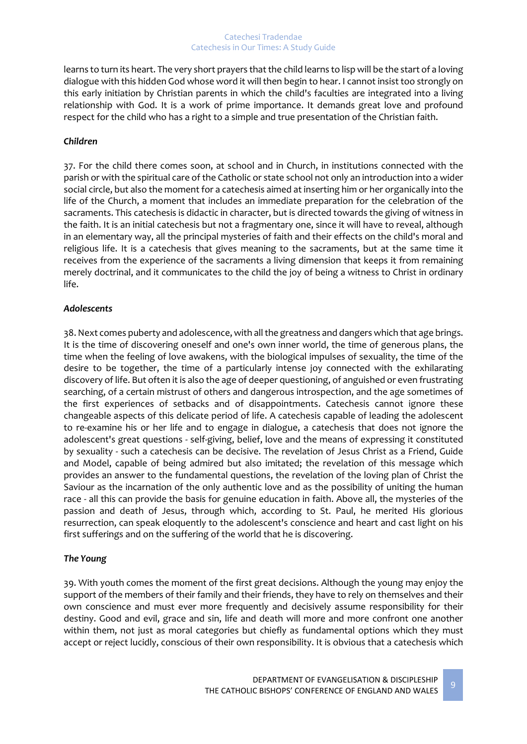learns to turn its heart. The very short prayers that the child learns to lisp will be the start of a loving dialogue with this hidden God whose word it will then begin to hear. I cannot insist too strongly on this early initiation by Christian parents in which the child's faculties are integrated into a living relationship with God. It is a work of prime importance. It demands great love and profound respect for the child who has a right to a simple and true presentation of the Christian faith.

## *Children*

37. For the child there comes soon, at school and in Church, in institutions connected with the parish or with the spiritual care of the Catholic or state school not only an introduction into a wider social circle, but also the moment for a catechesis aimed at inserting him or her organically into the life of the Church, a moment that includes an immediate preparation for the celebration of the sacraments. This catechesis is didactic in character, but is directed towards the giving of witness in the faith. It is an initial catechesis but not a fragmentary one, since it will have to reveal, although in an elementary way, all the principal mysteries of faith and their effects on the child's moral and religious life. It is a catechesis that gives meaning to the sacraments, but at the same time it receives from the experience of the sacraments a living dimension that keeps it from remaining merely doctrinal, and it communicates to the child the joy of being a witness to Christ in ordinary life.

## *Adolescents*

38.Next comes puberty and adolescence, with all the greatness and dangers which that age brings. It is the time of discovering oneself and one's own inner world, the time of generous plans, the time when the feeling of love awakens, with the biological impulses of sexuality, the time of the desire to be together, the time of a particularly intense joy connected with the exhilarating discovery of life. But often it is also the age of deeper questioning, of anguished or even frustrating searching, of a certain mistrust of others and dangerous introspection, and the age sometimes of the first experiences of setbacks and of disappointments. Catechesis cannot ignore these changeable aspects of this delicate period of life. A catechesis capable of leading the adolescent to re-examine his or her life and to engage in dialogue, a catechesis that does not ignore the adolescent's great questions - self-giving, belief, love and the means of expressing it constituted by sexuality - such a catechesis can be decisive. The revelation of Jesus Christ as a Friend, Guide and Model, capable of being admired but also imitated; the revelation of this message which provides an answer to the fundamental questions, the revelation of the loving plan of Christ the Saviour as the incarnation of the only authentic love and as the possibility of uniting the human race - all this can provide the basis for genuine education in faith. Above all, the mysteries of the passion and death of Jesus, through which, according to St. Paul, he merited His glorious resurrection, can speak eloquently to the adolescent's conscience and heart and cast light on his first sufferings and on the suffering of the world that he is discovering.

## *The Young*

39. With youth comes the moment of the first great decisions. Although the young may enjoy the support of the members of their family and their friends, they have to rely on themselves and their own conscience and must ever more frequently and decisively assume responsibility for their destiny. Good and evil, grace and sin, life and death will more and more confront one another within them, not just as moral categories but chiefly as fundamental options which they must accept or reject lucidly, conscious of their own responsibility. It is obvious that a catechesis which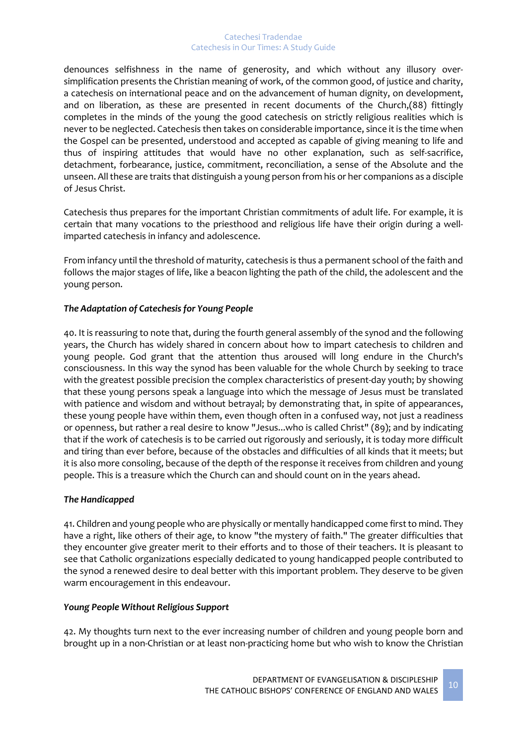denounces selfishness in the name of generosity, and which without any illusory oversimplification presents the Christian meaning of work, of the common good, of justice and charity, a catechesis on international peace and on the advancement of human dignity, on development, and on liberation, as these are presented in recent documents of the Church,(88) fittingly completes in the minds of the young the good catechesis on strictly religious realities which is never to be neglected. Catechesis then takes on considerable importance, since it is the time when the Gospel can be presented, understood and accepted as capable of giving meaning to life and thus of inspiring attitudes that would have no other explanation, such as self-sacrifice, detachment, forbearance, justice, commitment, reconciliation, a sense of the Absolute and the unseen. All these are traits that distinguish a young person from his or her companions as a disciple of Jesus Christ.

Catechesis thus prepares for the important Christian commitments of adult life. For example, it is certain that many vocations to the priesthood and religious life have their origin during a wellimparted catechesis in infancy and adolescence.

From infancy until the threshold of maturity, catechesis is thus a permanent school of the faith and follows the major stages of life, like a beacon lighting the path of the child, the adolescent and the young person.

## *The Adaptation of Catechesis for Young People*

40. It is reassuring to note that, during the fourth general assembly of the synod and the following years, the Church has widely shared in concern about how to impart catechesis to children and young people. God grant that the attention thus aroused will long endure in the Church's consciousness. In this way the synod has been valuable for the whole Church by seeking to trace with the greatest possible precision the complex characteristics of present-day youth; by showing that these young persons speak a language into which the message of Jesus must be translated with patience and wisdom and without betrayal; by demonstrating that, in spite of appearances, these young people have within them, even though often in a confused way, not just a readiness or openness, but rather a real desire to know "Jesus...who is called Christ" (89); and by indicating that if the work of catechesis is to be carried out rigorously and seriously, it is today more difficult and tiring than ever before, because of the obstacles and difficulties of all kinds that it meets; but it is also more consoling, because of the depth of the response it receives from children and young people. This is a treasure which the Church can and should count on in the years ahead.

## *The Handicapped*

41. Children and young people who are physically or mentally handicapped come first to mind. They have a right, like others of their age, to know "the mystery of faith." The greater difficulties that they encounter give greater merit to their efforts and to those of their teachers. It is pleasant to see that Catholic organizations especially dedicated to young handicapped people contributed to the synod a renewed desire to deal better with this important problem. They deserve to be given warm encouragement in this endeavour.

## *Young People Without Religious Support*

42. My thoughts turn next to the ever increasing number of children and young people born and brought up in a non-Christian or at least non-practicing home but who wish to know the Christian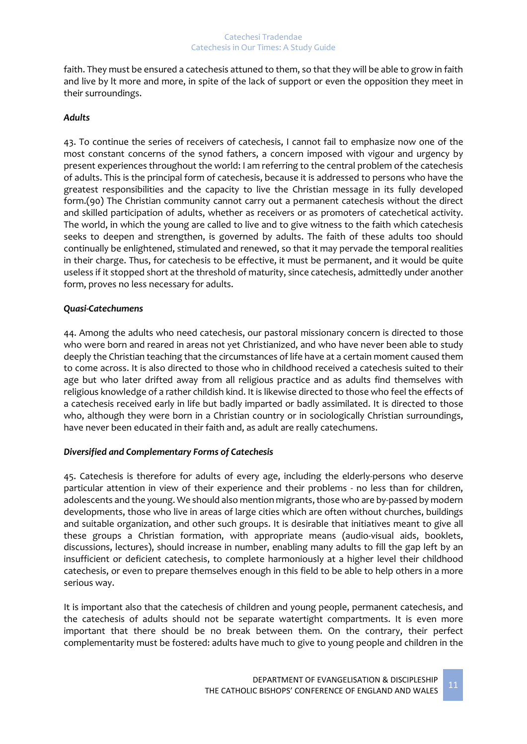faith. They must be ensured a catechesis attuned to them, so that they will be able to grow in faith and live by lt more and more, in spite of the lack of support or even the opposition they meet in their surroundings.

## *Adults*

43. To continue the series of receivers of catechesis, I cannot fail to emphasize now one of the most constant concerns of the synod fathers, a concern imposed with vigour and urgency by present experiences throughout the world: I am referring to the central problem of the catechesis of adults. This is the principal form of catechesis, because it is addressed to persons who have the greatest responsibilities and the capacity to live the Christian message in its fully developed form.(90) The Christian community cannot carry out a permanent catechesis without the direct and skilled participation of adults, whether as receivers or as promoters of catechetical activity. The world, in which the young are called to live and to give witness to the faith which catechesis seeks to deepen and strengthen, is governed by adults. The faith of these adults too should continually be enlightened, stimulated and renewed, so that it may pervade the temporal realities in their charge. Thus, for catechesis to be effective, it must be permanent, and it would be quite useless if it stopped short at the threshold of maturity, since catechesis, admittedly under another form, proves no less necessary for adults.

### *Quasi-Catechumens*

44. Among the adults who need catechesis, our pastoral missionary concern is directed to those who were born and reared in areas not yet Christianized, and who have never been able to study deeply the Christian teaching that the circumstances of life have at a certain moment caused them to come across. It is also directed to those who in childhood received a catechesis suited to their age but who later drifted away from all religious practice and as adults find themselves with religious knowledge of a rather childish kind. It is likewise directed to those who feel the effects of a catechesis received early in life but badly imparted or badly assimilated. It is directed to those who, although they were born in a Christian country or in sociologically Christian surroundings, have never been educated in their faith and, as adult are really catechumens.

## *Diversified and Complementary Forms of Catechesis*

45. Catechesis is therefore for adults of every age, including the elderly-persons who deserve particular attention in view of their experience and their problems - no less than for children, adolescents and the young. We should also mention migrants, those who are by-passed by modern developments, those who live in areas of large cities which are often without churches, buildings and suitable organization, and other such groups. It is desirable that initiatives meant to give all these groups a Christian formation, with appropriate means (audio-visual aids, booklets, discussions, lectures), should increase in number, enabling many adults to fill the gap left by an insufficient or deficient catechesis, to complete harmoniously at a higher level their childhood catechesis, or even to prepare themselves enough in this field to be able to help others in a more serious way.

It is important also that the catechesis of children and young people, permanent catechesis, and the catechesis of adults should not be separate watertight compartments. It is even more important that there should be no break between them. On the contrary, their perfect complementarity must be fostered: adults have much to give to young people and children in the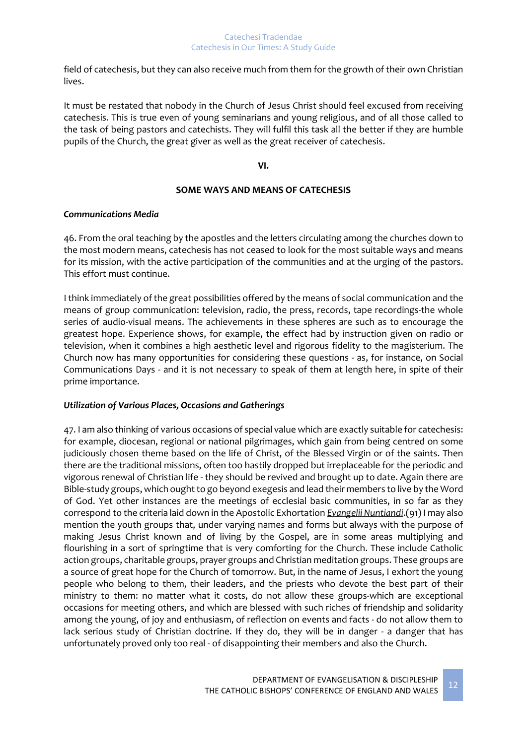field of catechesis, but they can also receive much from them for the growth of their own Christian lives.

It must be restated that nobody in the Church of Jesus Christ should feel excused from receiving catechesis. This is true even of young seminarians and young religious, and of all those called to the task of being pastors and catechists. They will fulfil this task all the better if they are humble pupils of the Church, the great giver as well as the great receiver of catechesis.

### **VI.**

## **SOME WAYS AND MEANS OF CATECHESIS**

### *Communications Media*

46. From the oral teaching by the apostles and the letters circulating among the churches down to the most modern means, catechesis has not ceased to look for the most suitable ways and means for its mission, with the active participation of the communities and at the urging of the pastors. This effort must continue.

I think immediately of the great possibilities offered by the means of social communication and the means of group communication: television, radio, the press, records, tape recordings-the whole series of audio-visual means. The achievements in these spheres are such as to encourage the greatest hope. Experience shows, for example, the effect had by instruction given on radio or television, when it combines a high aesthetic level and rigorous fidelity to the magisterium. The Church now has many opportunities for considering these questions - as, for instance, on Social Communications Days - and it is not necessary to speak of them at length here, in spite of their prime importance.

## *Utilization of Various Places, Occasions and Gatherings*

47. I am also thinking of various occasions of special value which are exactly suitable for catechesis: for example, diocesan, regional or national pilgrimages, which gain from being centred on some judiciously chosen theme based on the life of Christ, of the Blessed Virgin or of the saints. Then there are the traditional missions, often too hastily dropped but irreplaceable for the periodic and vigorous renewal of Christian life - they should be revived and brought up to date. Again there are Bible-study groups, which ought to go beyond exegesis and lead their members to live by the Word of God. Yet other instances are the meetings of ecclesial basic communities, in so far as they correspond to the criteria laid down in the Apostolic Exhortation *[Evangelii Nuntiandi](http://w2.vatican.va/content/paul-vi/en/apost_exhortations/documents/hf_p-vi_exh_19751208_evangelii-nuntiandi.html)*.(91) I may also mention the youth groups that, under varying names and forms but always with the purpose of making Jesus Christ known and of living by the Gospel, are in some areas multiplying and flourishing in a sort of springtime that is very comforting for the Church. These include Catholic action groups, charitable groups, prayer groups and Christian meditation groups. These groups are a source of great hope for the Church of tomorrow. But, in the name of Jesus, I exhort the young people who belong to them, their leaders, and the priests who devote the best part of their ministry to them: no matter what it costs, do not allow these groups-which are exceptional occasions for meeting others, and which are blessed with such riches of friendship and solidarity among the young, of joy and enthusiasm, of reflection on events and facts - do not allow them to lack serious study of Christian doctrine. If they do, they will be in danger - a danger that has unfortunately proved only too real - of disappointing their members and also the Church.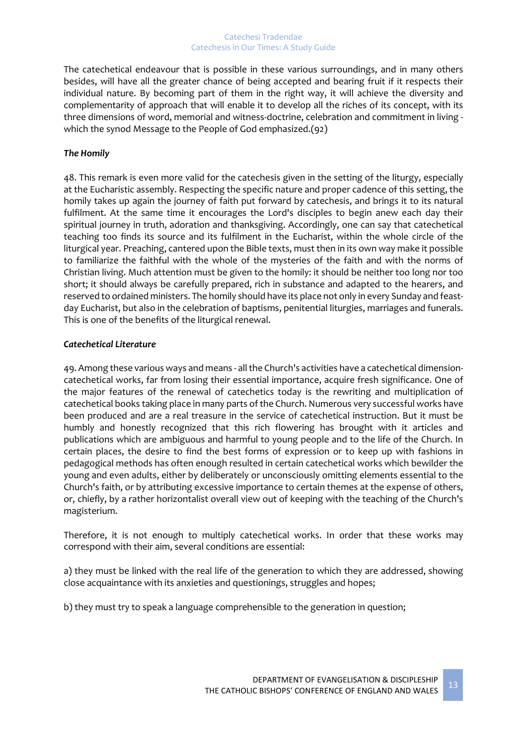The catechetical endeavour that is possible in these various surroundings, and in many others besides, will have all the greater chance of being accepted and bearing fruit if it respects their individual nature. By becoming part of them in the right way, it will achieve the diversity and complementarity of approach that will enable it to develop all the riches of its concept, with its three dimensions of word, memorial and witness-doctrine, celebration and commitment in living which the synod Message to the People of God emphasized.(92)

## *The Homily*

48. This remark is even more valid for the catechesis given in the setting of the liturgy, especially at the Eucharistic assembly. Respecting the specific nature and proper cadence of this setting, the homily takes up again the journey of faith put forward by catechesis, and brings it to its natural fulfilment. At the same time it encourages the Lord's disciples to begin anew each day their spiritual journey in truth, adoration and thanksgiving. Accordingly, one can say that catechetical teaching too finds its source and its fulfilment in the Eucharist, within the whole circle of the liturgical year. Preaching, cantered upon the Bible texts, must then in its own way make it possible to familiarize the faithful with the whole of the mysteries of the faith and with the norms of Christian living. Much attention must be given to the homily: it should be neither too long nor too short; it should always be carefully prepared, rich in substance and adapted to the hearers, and reserved to ordained ministers. The homily should have its place not only in every Sunday and feastday Eucharist, but also in the celebration of baptisms, penitential liturgies, marriages and funerals. This is one of the benefits of the liturgical renewal.

## *Catechetical Literature*

49. Among these various ways and means - all the Church's activities have a catechetical dimensioncatechetical works, far from losing their essential importance, acquire fresh significance. One of the major features of the renewal of catechetics today is the rewriting and multiplication of catechetical books taking place in many parts of the Church. Numerous very successful works have been produced and are a real treasure in the service of catechetical instruction. But it must be humbly and honestly recognized that this rich flowering has brought with it articles and publications which are ambiguous and harmful to young people and to the life of the Church. In certain places, the desire to find the best forms of expression or to keep up with fashions in pedagogical methods has often enough resulted in certain catechetical works which bewilder the young and even adults, either by deliberately or unconsciously omitting elements essential to the Church's faith, or by attributing excessive importance to certain themes at the expense of others, or, chiefly, by a rather horizontalist overall view out of keeping with the teaching of the Church's magisterium.

Therefore, it is not enough to multiply catechetical works. In order that these works may correspond with their aim, several conditions are essential:

a) they must be linked with the real life of the generation to which they are addressed, showing close acquaintance with its anxieties and questionings, struggles and hopes;

b) they must try to speak a language comprehensible to the generation in question;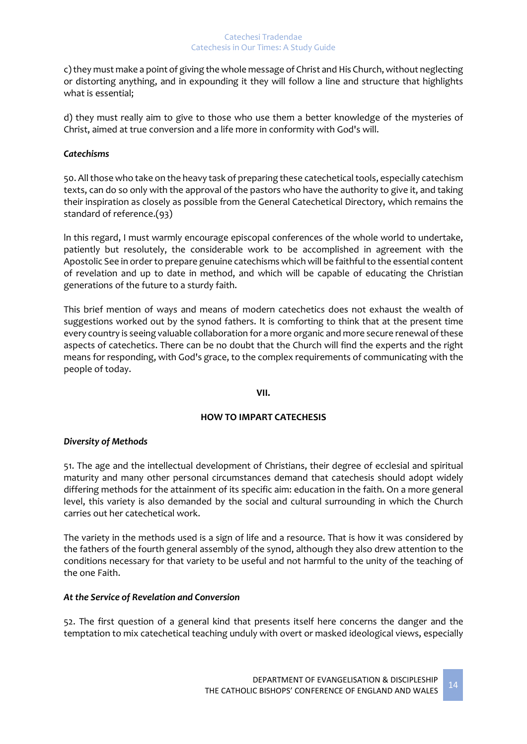c) they must make a point of giving the whole message of Christ and His Church, without neglecting or distorting anything, and in expounding it they will follow a line and structure that highlights what is essential;

d) they must really aim to give to those who use them a better knowledge of the mysteries of Christ, aimed at true conversion and a life more in conformity with God's will.

## *Catechisms*

50. All those who take on the heavy task of preparing these catechetical tools, especially catechism texts, can do so only with the approval of the pastors who have the authority to give it, and taking their inspiration as closely as possible from the General Catechetical Directory, which remains the standard of reference.(93)

ln this regard, I must warmly encourage episcopal conferences of the whole world to undertake, patiently but resolutely, the considerable work to be accomplished in agreement with the Apostolic See in order to prepare genuine catechisms which will be faithful to the essential content of revelation and up to date in method, and which will be capable of educating the Christian generations of the future to a sturdy faith.

This brief mention of ways and means of modern catechetics does not exhaust the wealth of suggestions worked out by the synod fathers. It is comforting to think that at the present time every country is seeing valuable collaboration for a more organic and more secure renewal of these aspects of catechetics. There can be no doubt that the Church will find the experts and the right means for responding, with God's grace, to the complex requirements of communicating with the people of today.

#### **VII.**

## **HOW TO IMPART CATECHESIS**

## *Diversity of Methods*

51. The age and the intellectual development of Christians, their degree of ecclesial and spiritual maturity and many other personal circumstances demand that catechesis should adopt widely differing methods for the attainment of its specific aim: education in the faith. On a more general level, this variety is also demanded by the social and cultural surrounding in which the Church carries out her catechetical work.

The variety in the methods used is a sign of life and a resource. That is how it was considered by the fathers of the fourth general assembly of the synod, although they also drew attention to the conditions necessary for that variety to be useful and not harmful to the unity of the teaching of the one Faith.

## *At the Service of Revelation and Conversion*

52. The first question of a general kind that presents itself here concerns the danger and the temptation to mix catechetical teaching unduly with overt or masked ideological views, especially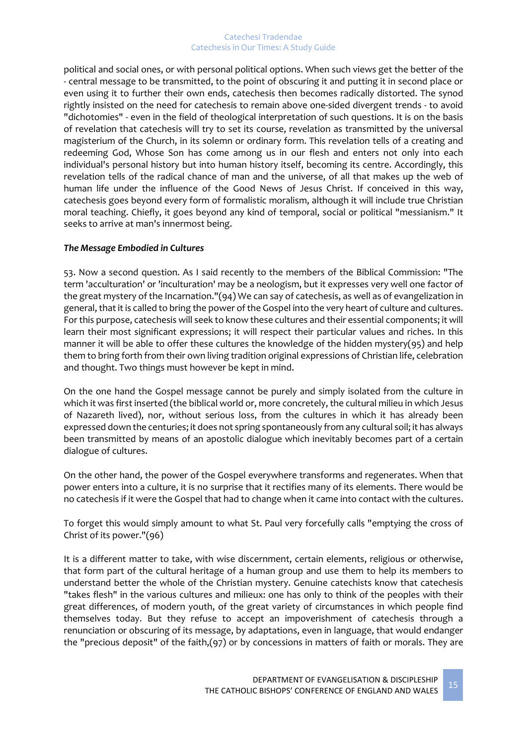political and social ones, or with personal political options. When such views get the better of the - central message to be transmitted, to the point of obscuring it and putting it in second place or even using it to further their own ends, catechesis then becomes radically distorted. The synod rightly insisted on the need for catechesis to remain above one-sided divergent trends - to avoid "dichotomies" - even in the field of theological interpretation of such questions. It is on the basis of revelation that catechesis will try to set its course, revelation as transmitted by the universal magisterium of the Church, in its solemn or ordinary form. This revelation tells of a creating and redeeming God, Whose Son has come among us in our flesh and enters not only into each individual's personal history but into human history itself, becoming its centre. Accordingly, this revelation tells of the radical chance of man and the universe, of all that makes up the web of human life under the influence of the Good News of Jesus Christ. If conceived in this way, catechesis goes beyond every form of formalistic moralism, although it will include true Christian moral teaching. Chiefly, it goes beyond any kind of temporal, social or political "messianism." It seeks to arrive at man's innermost being.

### *The Message Embodied in Cultures*

53. Now a second question. As I said recently to the members of the Biblical Commission: "The term 'acculturation' or 'inculturation' may be a neologism, but it expresses very well one factor of the great mystery of the Incarnation."(94) We can say of catechesis, as well as of evangelization in general, that it is called to bring the power of the Gospel into the very heart of culture and cultures. For this purpose, catechesis will seek to know these cultures and their essential components; it will learn their most significant expressions; it will respect their particular values and riches. In this manner it will be able to offer these cultures the knowledge of the hidden mystery(95) and help them to bring forth from their own living tradition original expressions of Christian life, celebration and thought. Two things must however be kept in mind.

On the one hand the Gospel message cannot be purely and simply isolated from the culture in which it was first inserted (the biblical world or, more concretely, the cultural milieu in which Jesus of Nazareth lived), nor, without serious loss, from the cultures in which it has already been expressed down the centuries; it does not spring spontaneously from any cultural soil; it has always been transmitted by means of an apostolic dialogue which inevitably becomes part of a certain dialogue of cultures.

On the other hand, the power of the Gospel everywhere transforms and regenerates. When that power enters into a culture, it is no surprise that it rectifies many of its elements. There would be no catechesis if it were the Gospel that had to change when it came into contact with the cultures.

To forget this would simply amount to what St. Paul very forcefully calls "emptying the cross of Christ of its power."(96)

It is a different matter to take, with wise discernment, certain elements, religious or otherwise, that form part of the cultural heritage of a human group and use them to help its members to understand better the whole of the Christian mystery. Genuine catechists know that catechesis "takes flesh" in the various cultures and milieux: one has only to think of the peoples with their great differences, of modern youth, of the great variety of circumstances in which people find themselves today. But they refuse to accept an impoverishment of catechesis through a renunciation or obscuring of its message, by adaptations, even in language, that would endanger the "precious deposit" of the faith,(97) or by concessions in matters of faith or morals. They are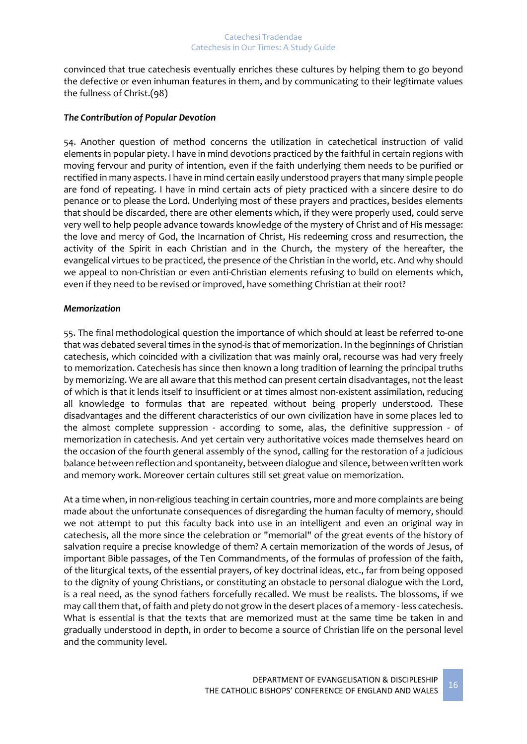convinced that true catechesis eventually enriches these cultures by helping them to go beyond the defective or even inhuman features in them, and by communicating to their legitimate values the fullness of Christ.(98)

## *The Contribution of Popular Devotion*

54. Another question of method concerns the utilization in catechetical instruction of valid elements in popular piety. I have in mind devotions practiced by the faithful in certain regions with moving fervour and purity of intention, even if the faith underlying them needs to be purified or rectified in many aspects. I have in mind certain easily understood prayers that many simple people are fond of repeating. I have in mind certain acts of piety practiced with a sincere desire to do penance or to please the Lord. Underlying most of these prayers and practices, besides elements that should be discarded, there are other elements which, if they were properly used, could serve very well to help people advance towards knowledge of the mystery of Christ and of His message: the love and mercy of God, the Incarnation of Christ, His redeeming cross and resurrection, the activity of the Spirit in each Christian and in the Church, the mystery of the hereafter, the evangelical virtues to be practiced, the presence of the Christian in the world, etc. And why should we appeal to non-Christian or even anti-Christian elements refusing to build on elements which, even if they need to be revised or improved, have something Christian at their root?

### *Memorization*

55. The final methodological question the importance of which should at least be referred to-one that was debated several times in the synod-is that of memorization. In the beginnings of Christian catechesis, which coincided with a civilization that was mainly oral, recourse was had very freely to memorization. Catechesis has since then known a long tradition of learning the principal truths by memorizing. We are all aware that this method can present certain disadvantages, not the least of which is that it lends itself to insufficient or at times almost non-existent assimilation, reducing all knowledge to formulas that are repeated without being properly understood. These disadvantages and the different characteristics of our own civilization have in some places led to the almost complete suppression - according to some, alas, the definitive suppression - of memorization in catechesis. And yet certain very authoritative voices made themselves heard on the occasion of the fourth general assembly of the synod, calling for the restoration of a judicious balance between reflection and spontaneity, between dialogue and silence, between written work and memory work. Moreover certain cultures still set great value on memorization.

At a time when, in non-religious teaching in certain countries, more and more complaints are being made about the unfortunate consequences of disregarding the human faculty of memory, should we not attempt to put this faculty back into use in an intelligent and even an original way in catechesis, all the more since the celebration or "memorial" of the great events of the history of salvation require a precise knowledge of them? A certain memorization of the words of Jesus, of important Bible passages, of the Ten Commandments, of the formulas of profession of the faith, of the liturgical texts, of the essential prayers, of key doctrinal ideas, etc., far from being opposed to the dignity of young Christians, or constituting an obstacle to personal dialogue with the Lord, is a real need, as the synod fathers forcefully recalled. We must be realists. The blossoms, if we may call them that, of faith and piety do not grow in the desert places of a memory - less catechesis. What is essential is that the texts that are memorized must at the same time be taken in and gradually understood in depth, in order to become a source of Christian life on the personal level and the community level.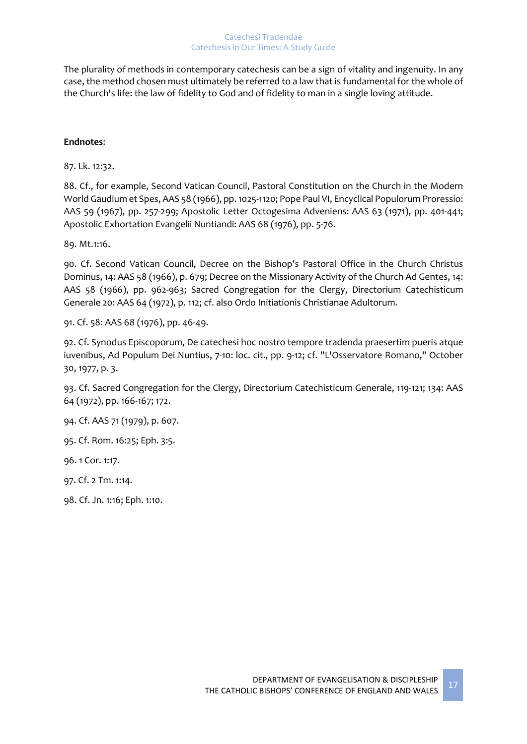The plurality of methods in contemporary catechesis can be a sign of vitality and ingenuity. In any case, the method chosen must ultimately be referred to a law that is fundamental for the whole of the Church's life: the law of fidelity to God and of fidelity to man in a single loving attitude.

## **Endnotes**:

87. Lk. 12:32.

88. Cf., for example, Second Vatican Council, Pastoral Constitution on the Church in the Modern World Gaudium et Spes, AAS 58 (1966), pp. 1025-1120; Pope Paul VI, Encyclical Populorum Proressio: AAS 59 (1967), pp. 257-299; Apostolic Letter Octogesima Adveniens: AAS 63 (1971), pp. 401-441; Apostolic Exhortation Evangelii Nuntiandi: AAS 68 (1976), pp. 5-76.

89. Mt.1:16.

90. Cf. Second Vatican Council, Decree on the Bishop's Pastoral Office in the Church Christus Dominus, 14: AAS 58 (1966), p. 679; Decree on the Missionary Activity of the Church Ad Gentes, 14: AAS 58 (1966), pp. 962-963; Sacred Congregation for the Clergy, Directorium Catechisticum Generale 20: AAS 64 (1972), p. 112; cf. also Ordo Initiationis Christianae Adultorum.

91. Cf. 58: AAS 68 (1976), pp. 46-49.

92. Cf. Synodus Episcoporum, De catechesi hoc nostro tempore tradenda praesertim pueris atque iuvenibus, Ad Populum Dei Nuntius, 7-10: loc. cit., pp. 9-12; cf. "L'Osservatore Romano," October 30, 1977, p. 3.

93. Cf. Sacred Congregation for the Clergy, Directorium Catechisticum Generale, 119-121; 134: AAS 64 (1972), pp. 166-167; 172.

94. Cf. AAS 71 (1979), p. 607.

95. Cf. Rom. 16:25; Eph. 3:5.

96. 1 Cor. 1:17.

97. Cf. 2 Tm. 1:14.

98. Cf. Jn. 1:16; Eph. 1:10.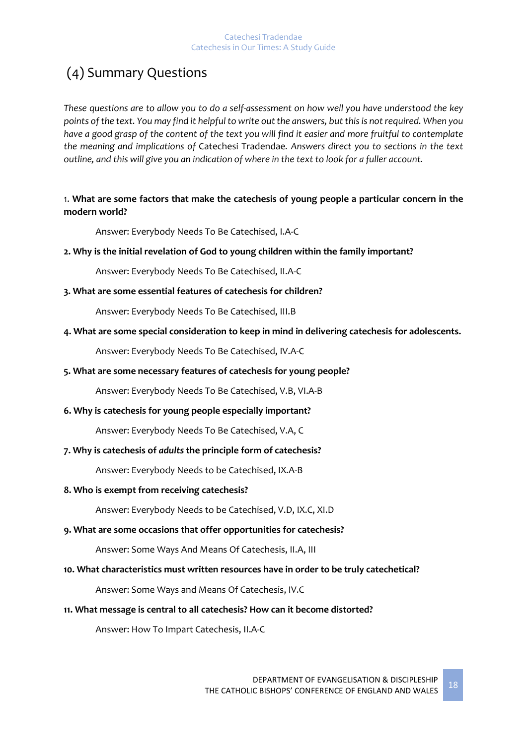## (4) Summary Questions

*These questions are to allow you to do a self-assessment on how well you have understood the key points of the text. You may find it helpful to write out the answers, but this is not required. When you have a good grasp of the content of the text you will find it easier and more fruitful to contemplate the meaning and implications of* Catechesi Tradendae*. Answers direct you to sections in the text outline, and this will give you an indication of where in the text to look for a fuller account.*

## 1. **What are some factors that make the catechesis of young people a particular concern in the modern world?**

Answer: Everybody Needs To Be Catechised, I.A-C

**2. Why is the initial revelation of God to young children within the family important?**

Answer: Everybody Needs To Be Catechised, II.A-C

**3. What are some essential features of catechesis for children?**

Answer: Everybody Needs To Be Catechised, III.B

**4. What are some special consideration to keep in mind in delivering catechesis for adolescents.**

Answer: Everybody Needs To Be Catechised, IV.A-C

**5. What are some necessary features of catechesis for young people?**

Answer: Everybody Needs To Be Catechised, V.B, VI.A-B

**6. Why is catechesis for young people especially important?**

Answer: Everybody Needs To Be Catechised, V.A, C

## **7. Why is catechesis of** *adults* **the principle form of catechesis?**

Answer: Everybody Needs to be Catechised, IX.A-B

#### **8. Who is exempt from receiving catechesis?**

Answer: Everybody Needs to be Catechised, V.D, IX.C, XI.D

**9. What are some occasions that offer opportunities for catechesis?**

Answer: Some Ways And Means Of Catechesis, II.A, III

#### **10. What characteristics must written resources have in order to be truly catechetical?**

Answer: Some Ways and Means Of Catechesis, IV.C

#### **11. What message is central to all catechesis? How can it become distorted?**

Answer: How To Impart Catechesis, II.A-C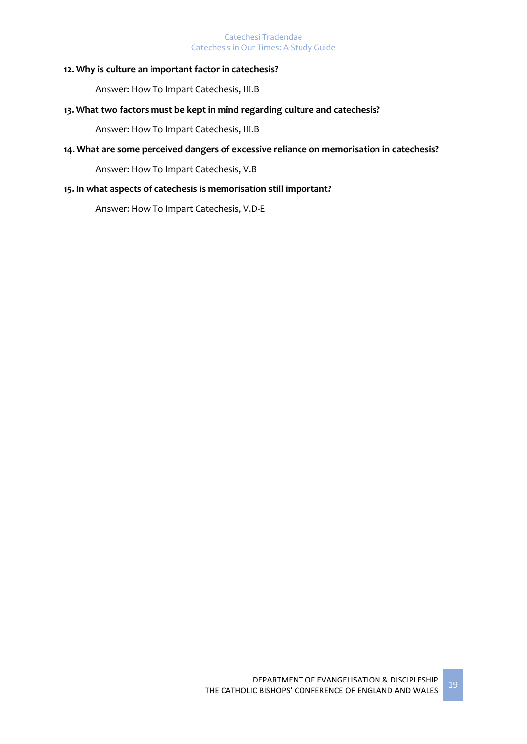#### **12. Why is culture an important factor in catechesis?**

Answer: How To Impart Catechesis, III.B

## **13. What two factors must be kept in mind regarding culture and catechesis?**

Answer: How To Impart Catechesis, III.B

#### **14. What are some perceived dangers of excessive reliance on memorisation in catechesis?**

Answer: How To Impart Catechesis, V.B

## **15. In what aspects of catechesis is memorisation still important?**

Answer: How To Impart Catechesis, V.D-E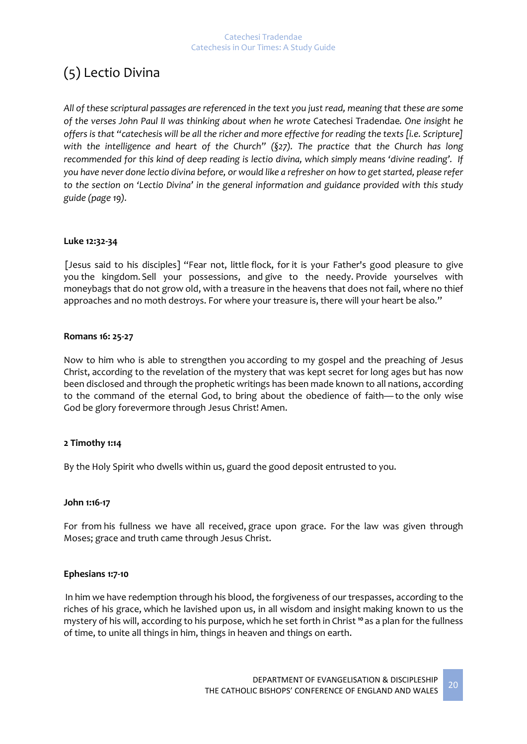## (5) Lectio Divina

*All of these scriptural passages are referenced in the text you just read, meaning that these are some of the verses John Paul II was thinking about when he wrote* Catechesi Tradendae*. One insight he offers is that "catechesis will be all the richer and more effective for reading the texts [i.e. Scripture] with the intelligence and heart of the Church" (§27). The practice that the Church has long recommended for this kind of deep reading is lectio divina, which simply means 'divine reading'. If you have never done lectio divina before, or would like a refresher on how to get started, please refer to the section on 'Lectio Divina' in the general information and guidance provided with this study guide (page 19).*

## **Luke 12:32-34**

[Jesus said to his disciples] "Fear not, little flock, for it is your Father's good pleasure to give you the kingdom. Sell your possessions, and give to the needy. Provide yourselves with moneybags that do not grow old, with a treasure in the heavens that does not fail, where no thief approaches and no moth destroys. For where your treasure is, there will your heart be also."

## **Romans 16: 25-27**

Now to him who is able to strengthen you according to my gospel and the preaching of Jesus Christ, according to the revelation of the mystery that was kept secret for long ages but has now been disclosed and through the prophetic writings has been made known to all nations, according to the command of the eternal God, to bring about the obedience of faith—to the only wise God be glory forevermore through Jesus Christ! Amen.

## **2 Timothy 1:14**

By the Holy Spirit who dwells within us, guard the good deposit entrusted to you.

## **John 1:16-17**

For from his fullness we have all received, grace upon grace. For the law was given through Moses; grace and truth came through Jesus Christ.

## **Ephesians 1:7-10**

In him we have redemption through his blood, the forgiveness of our trespasses, according to the riches of his grace, which he lavished upon us, in all wisdom and insight making known to us the mystery of his will, according to his purpose, which he set forth in Christ **<sup>10</sup>** as a plan for the fullness of time, to unite all things in him, things in heaven and things on earth.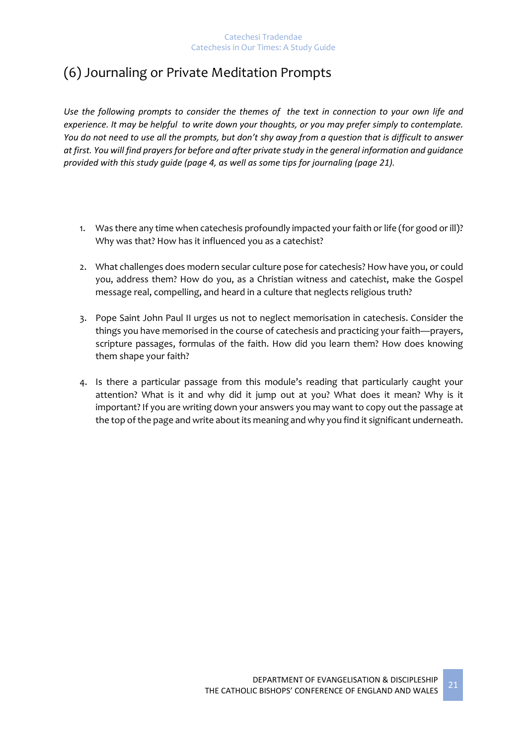## (6) Journaling or Private Meditation Prompts

*Use the following prompts to consider the themes of the text in connection to your own life and experience. It may be helpful to write down your thoughts, or you may prefer simply to contemplate. You do not need to use all the prompts, but don't shy away from a question that is difficult to answer at first. You will find prayers for before and after private study in the general information and guidance provided with this study guide (page 4, as well as some tips for journaling (page 21).*

- 1. Was there any time when catechesis profoundly impacted your faith or life (for good or ill)? Why was that? How has it influenced you as a catechist?
- 2. What challenges does modern secular culture pose for catechesis? How have you, or could you, address them? How do you, as a Christian witness and catechist, make the Gospel message real, compelling, and heard in a culture that neglects religious truth?
- 3. Pope Saint John Paul II urges us not to neglect memorisation in catechesis. Consider the things you have memorised in the course of catechesis and practicing your faith—prayers, scripture passages, formulas of the faith. How did you learn them? How does knowing them shape your faith?
- 4. Is there a particular passage from this module's reading that particularly caught your attention? What is it and why did it jump out at you? What does it mean? Why is it important? If you are writing down your answers you may want to copy out the passage at the top of the page and write about its meaning and why you find it significant underneath.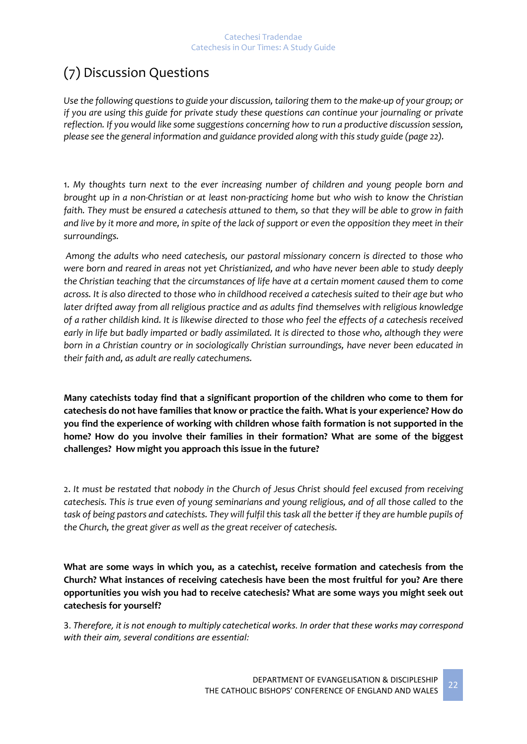## (7) Discussion Questions

*Use the following questions to guide your discussion, tailoring them to the make-up of your group; or if you are using this guide for private study these questions can continue your journaling or private reflection. If you would like some suggestions concerning how to run a productive discussion session, please see the general information and guidance provided along with this study guide (page 22).* 

1. *My thoughts turn next to the ever increasing number of children and young people born and brought up in a non-Christian or at least non-practicing home but who wish to know the Christian faith. They must be ensured a catechesis attuned to them, so that they will be able to grow in faith and live by it more and more, in spite of the lack of support or even the opposition they meet in their surroundings.*

*Among the adults who need catechesis, our pastoral missionary concern is directed to those who were born and reared in areas not yet Christianized, and who have never been able to study deeply the Christian teaching that the circumstances of life have at a certain moment caused them to come across. It is also directed to those who in childhood received a catechesis suited to their age but who later drifted away from all religious practice and as adults find themselves with religious knowledge of a rather childish kind. It is likewise directed to those who feel the effects of a catechesis received early in life but badly imparted or badly assimilated. It is directed to those who, although they were born in a Christian country or in sociologically Christian surroundings, have never been educated in their faith and, as adult are really catechumens.*

**Many catechists today find that a significant proportion of the children who come to them for catechesis do not have families that know or practice the faith. What is your experience? How do you find the experience of working with children whose faith formation is not supported in the home? How do you involve their families in their formation? What are some of the biggest challenges? How might you approach this issue in the future?**

2. *It must be restated that nobody in the Church of Jesus Christ should feel excused from receiving catechesis. This is true even of young seminarians and young religious, and of all those called to the task of being pastors and catechists. They will fulfil this task all the better if they are humble pupils of the Church, the great giver as well as the great receiver of catechesis.*

**What are some ways in which you, as a catechist, receive formation and catechesis from the Church? What instances of receiving catechesis have been the most fruitful for you? Are there opportunities you wish you had to receive catechesis? What are some ways you might seek out catechesis for yourself?**

3. *Therefore, it is not enough to multiply catechetical works. In order that these works may correspond with their aim, several conditions are essential:*